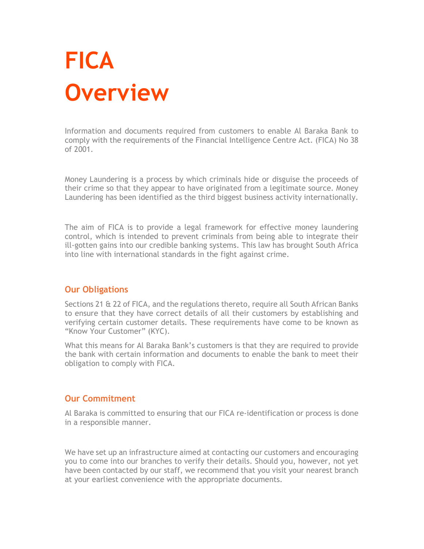## **FICA Overview**

Information and documents required from customers to enable Al Baraka Bank to comply with the requirements of the Financial Intelligence Centre Act. (FICA) No 38 of 2001.

Money Laundering is a process by which criminals hide or disguise the proceeds of their crime so that they appear to have originated from a legitimate source. Money Laundering has been identified as the third biggest business activity internationally.

The aim of FICA is to provide a legal framework for effective money laundering control, which is intended to prevent criminals from being able to integrate their ill-gotten gains into our credible banking systems. This law has brought South Africa into line with international standards in the fight against crime.

## **Our Obligations**

Sections 21 & 22 of FICA, and the regulations thereto, require all South African Banks to ensure that they have correct details of all their customers by establishing and verifying certain customer details. These requirements have come to be known as "Know Your Customer" (KYC).

What this means for Al Baraka Bank's customers is that they are required to provide the bank with certain information and documents to enable the bank to meet their obligation to comply with FICA.

## **Our Commitment**

Al Baraka is committed to ensuring that our FICA re-identification or process is done in a responsible manner.

We have set up an infrastructure aimed at contacting our customers and encouraging you to come into our branches to verify their details. Should you, however, not yet have been contacted by our staff, we recommend that you visit your nearest branch at your earliest convenience with the appropriate documents.